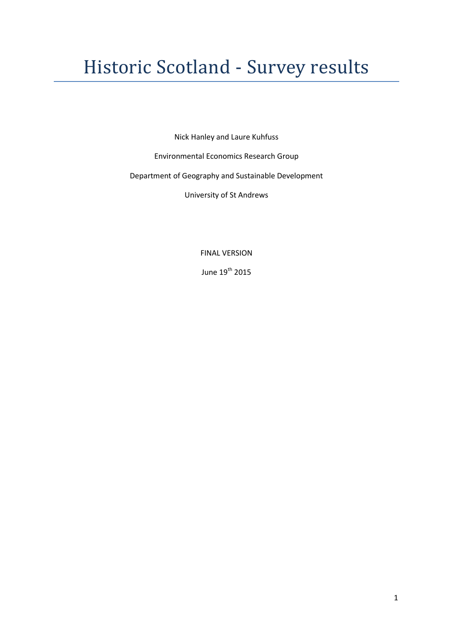# Historic Scotland - Survey results

Nick Hanley and Laure Kuhfuss

Environmental Economics Research Group

Department of Geography and Sustainable Development

University of St Andrews

FINAL VERSION

June 19<sup>th</sup> 2015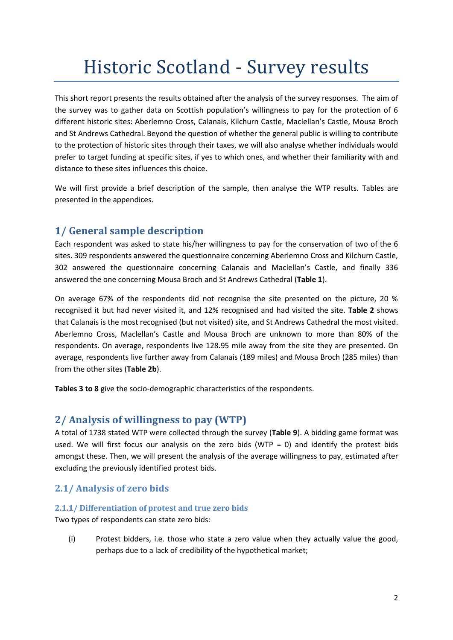# Historic Scotland - Survey results

This short report presents the results obtained after the analysis of the survey responses. The aim of the survey was to gather data on Scottish population's willingness to pay for the protection of 6 different historic sites: Aberlemno Cross, Calanais, Kilchurn Castle, Maclellan's Castle, Mousa Broch and St Andrews Cathedral. Beyond the question of whether the general public is willing to contribute to the protection of historic sites through their taxes, we will also analyse whether individuals would prefer to target funding at specific sites, if yes to which ones, and whether their familiarity with and distance to these sites influences this choice.

We will first provide a brief description of the sample, then analyse the WTP results. Tables are presented in the appendices.

# **1/ General sample description**

Each respondent was asked to state his/her willingness to pay for the conservation of two of the 6 sites. 309 respondents answered the questionnaire concerning Aberlemno Cross and Kilchurn Castle, 302 answered the questionnaire concerning Calanais and Maclellan's Castle, and finally 336 answered the one concerning Mousa Broch and St Andrews Cathedral (**Table 1**).

On average 67% of the respondents did not recognise the site presented on the picture, 20 % recognised it but had never visited it, and 12% recognised and had visited the site. **Table 2** shows that Calanais is the most recognised (but not visited) site, and St Andrews Cathedral the most visited. Aberlemno Cross, Maclellan's Castle and Mousa Broch are unknown to more than 80% of the respondents. On average, respondents live 128.95 mile away from the site they are presented. On average, respondents live further away from Calanais (189 miles) and Mousa Broch (285 miles) than from the other sites (**Table 2b**).

**Tables 3 to 8** give the socio-demographic characteristics of the respondents.

# **2/ Analysis of willingness to pay (WTP)**

A total of 1738 stated WTP were collected through the survey (**Table 9**). A bidding game format was used. We will first focus our analysis on the zero bids (WTP = 0) and identify the protest bids amongst these. Then, we will present the analysis of the average willingness to pay, estimated after excluding the previously identified protest bids.

## **2.1/ Analysis of zero bids**

#### **2.1.1/ Differentiation of protest and true zero bids**

Two types of respondents can state zero bids:

(i) Protest bidders, i.e. those who state a zero value when they actually value the good, perhaps due to a lack of credibility of the hypothetical market;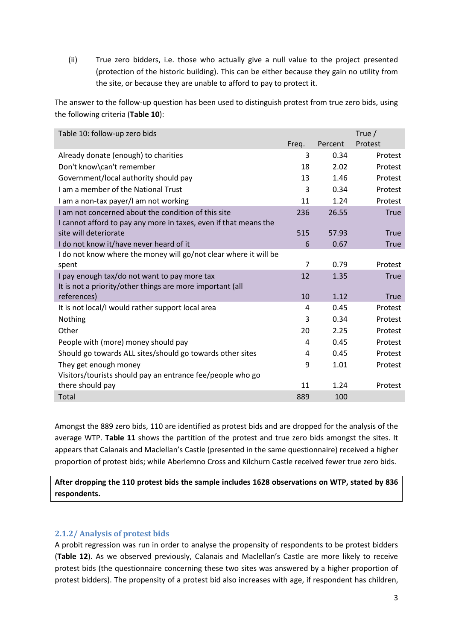(ii) True zero bidders, i.e. those who actually give a null value to the project presented (protection of the historic building). This can be either because they gain no utility from the site, or because they are unable to afford to pay to protect it.

The answer to the follow-up question has been used to distinguish protest from true zero bids, using the following criteria (**Table 10**):

| Table 10: follow-up zero bids                                    |       |         | True /      |
|------------------------------------------------------------------|-------|---------|-------------|
|                                                                  | Freq. | Percent | Protest     |
| Already donate (enough) to charities                             | 3     | 0.34    | Protest     |
| Don't know\can't remember                                        | 18    | 2.02    | Protest     |
| Government/local authority should pay                            | 13    | 1.46    | Protest     |
| I am a member of the National Trust                              | 3     | 0.34    | Protest     |
| I am a non-tax payer/I am not working                            | 11    | 1.24    | Protest     |
| I am not concerned about the condition of this site              | 236   | 26.55   | <b>True</b> |
| I cannot afford to pay any more in taxes, even if that means the |       |         |             |
| site will deteriorate                                            | 515   | 57.93   | <b>True</b> |
| I do not know it/have never heard of it                          | 6     | 0.67    | <b>True</b> |
| I do not know where the money will go/not clear where it will be |       |         |             |
| spent                                                            | 7     | 0.79    | Protest     |
| I pay enough tax/do not want to pay more tax                     | 12    | 1.35    | <b>True</b> |
| It is not a priority/other things are more important (all        |       |         |             |
| references)                                                      | 10    | 1.12    | <b>True</b> |
| It is not local/I would rather support local area                | 4     | 0.45    | Protest     |
| Nothing                                                          | 3     | 0.34    | Protest     |
| Other                                                            | 20    | 2.25    | Protest     |
| People with (more) money should pay                              | 4     | 0.45    | Protest     |
| Should go towards ALL sites/should go towards other sites        | 4     | 0.45    | Protest     |
| They get enough money                                            | 9     | 1.01    | Protest     |
| Visitors/tourists should pay an entrance fee/people who go       |       |         |             |
| there should pay                                                 | 11    | 1.24    | Protest     |
| Total                                                            | 889   | 100     |             |

Amongst the 889 zero bids, 110 are identified as protest bids and are dropped for the analysis of the average WTP. **Table 11** shows the partition of the protest and true zero bids amongst the sites. It appears that Calanais and Maclellan's Castle (presented in the same questionnaire) received a higher proportion of protest bids; while Aberlemno Cross and Kilchurn Castle received fewer true zero bids.

**After dropping the 110 protest bids the sample includes 1628 observations on WTP, stated by 836 respondents.**

#### **2.1.2/ Analysis of protest bids**

A probit regression was run in order to analyse the propensity of respondents to be protest bidders (**Table 12**). As we observed previously, Calanais and Maclellan's Castle are more likely to receive protest bids (the questionnaire concerning these two sites was answered by a higher proportion of protest bidders). The propensity of a protest bid also increases with age, if respondent has children,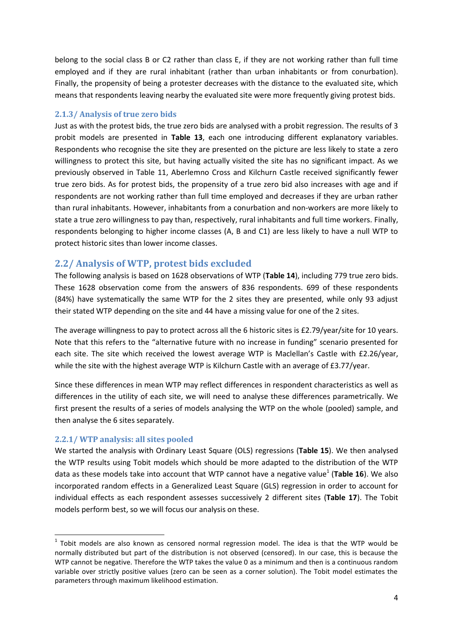belong to the social class B or C2 rather than class E, if they are not working rather than full time employed and if they are rural inhabitant (rather than urban inhabitants or from conurbation). Finally, the propensity of being a protester decreases with the distance to the evaluated site, which means that respondents leaving nearby the evaluated site were more frequently giving protest bids.

#### **2.1.3/ Analysis of true zero bids**

Just as with the protest bids, the true zero bids are analysed with a probit regression. The results of 3 probit models are presented in **Table 13**, each one introducing different explanatory variables. Respondents who recognise the site they are presented on the picture are less likely to state a zero willingness to protect this site, but having actually visited the site has no significant impact. As we previously observed in Table 11, Aberlemno Cross and Kilchurn Castle received significantly fewer true zero bids. As for protest bids, the propensity of a true zero bid also increases with age and if respondents are not working rather than full time employed and decreases if they are urban rather than rural inhabitants. However, inhabitants from a conurbation and non-workers are more likely to state a true zero willingness to pay than, respectively, rural inhabitants and full time workers. Finally, respondents belonging to higher income classes (A, B and C1) are less likely to have a null WTP to protect historic sites than lower income classes.

### **2.2/ Analysis of WTP, protest bids excluded**

The following analysis is based on 1628 observations of WTP (**Table 14**), including 779 true zero bids. These 1628 observation come from the answers of 836 respondents. 699 of these respondents (84%) have systematically the same WTP for the 2 sites they are presented, while only 93 adjust their stated WTP depending on the site and 44 have a missing value for one of the 2 sites.

The average willingness to pay to protect across all the 6 historic sites is £2.79/year/site for 10 years. Note that this refers to the "alternative future with no increase in funding" scenario presented for each site. The site which received the lowest average WTP is Maclellan's Castle with £2.26/year, while the site with the highest average WTP is Kilchurn Castle with an average of £3.77/year.

Since these differences in mean WTP may reflect differences in respondent characteristics as well as differences in the utility of each site, we will need to analyse these differences parametrically. We first present the results of a series of models analysing the WTP on the whole (pooled) sample, and then analyse the 6 sites separately.

#### **2.2.1/ WTP analysis: all sites pooled**

 $\overline{a}$ 

We started the analysis with Ordinary Least Square (OLS) regressions (**Table 15**). We then analysed the WTP results using Tobit models which should be more adapted to the distribution of the WTP data as these models take into account that WTP cannot have a negative value<sup>1</sup> (Table 16). We also incorporated random effects in a Generalized Least Square (GLS) regression in order to account for individual effects as each respondent assesses successively 2 different sites (**Table 17**). The Tobit models perform best, so we will focus our analysis on these.

 $1$  Tobit models are also known as censored normal regression model. The idea is that the WTP would be normally distributed but part of the distribution is not observed (censored). In our case, this is because the WTP cannot be negative. Therefore the WTP takes the value 0 as a minimum and then is a continuous random variable over strictly positive values (zero can be seen as a corner solution). The Tobit model estimates the parameters through maximum likelihood estimation.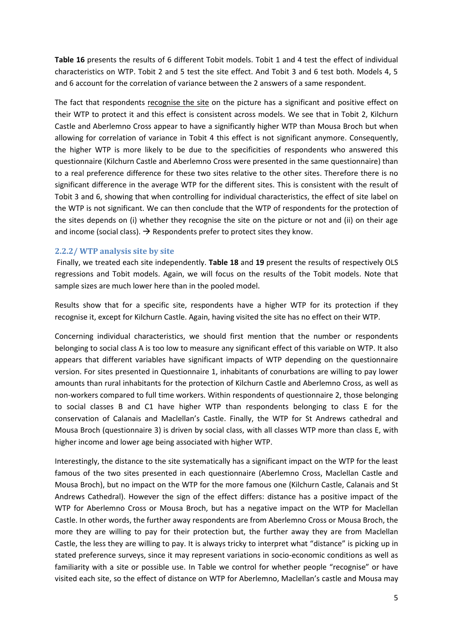**Table 16** presents the results of 6 different Tobit models. Tobit 1 and 4 test the effect of individual characteristics on WTP. Tobit 2 and 5 test the site effect. And Tobit 3 and 6 test both. Models 4, 5 and 6 account for the correlation of variance between the 2 answers of a same respondent.

The fact that respondents recognise the site on the picture has a significant and positive effect on their WTP to protect it and this effect is consistent across models. We see that in Tobit 2, Kilchurn Castle and Aberlemno Cross appear to have a significantly higher WTP than Mousa Broch but when allowing for correlation of variance in Tobit 4 this effect is not significant anymore. Consequently, the higher WTP is more likely to be due to the specificities of respondents who answered this questionnaire (Kilchurn Castle and Aberlemno Cross were presented in the same questionnaire) than to a real preference difference for these two sites relative to the other sites. Therefore there is no significant difference in the average WTP for the different sites. This is consistent with the result of Tobit 3 and 6, showing that when controlling for individual characteristics, the effect of site label on the WTP is not significant. We can then conclude that the WTP of respondents for the protection of the sites depends on (i) whether they recognise the site on the picture or not and (ii) on their age and income (social class).  $\rightarrow$  Respondents prefer to protect sites they know.

#### **2.2.2/ WTP analysis site by site**

Finally, we treated each site independently. **Table 18** and **19** present the results of respectively OLS regressions and Tobit models. Again, we will focus on the results of the Tobit models. Note that sample sizes are much lower here than in the pooled model.

Results show that for a specific site, respondents have a higher WTP for its protection if they recognise it, except for Kilchurn Castle. Again, having visited the site has no effect on their WTP.

Concerning individual characteristics, we should first mention that the number or respondents belonging to social class A is too low to measure any significant effect of this variable on WTP. It also appears that different variables have significant impacts of WTP depending on the questionnaire version. For sites presented in Questionnaire 1, inhabitants of conurbations are willing to pay lower amounts than rural inhabitants for the protection of Kilchurn Castle and Aberlemno Cross, as well as non-workers compared to full time workers. Within respondents of questionnaire 2, those belonging to social classes B and C1 have higher WTP than respondents belonging to class E for the conservation of Calanais and Maclellan's Castle. Finally, the WTP for St Andrews cathedral and Mousa Broch (questionnaire 3) is driven by social class, with all classes WTP more than class E, with higher income and lower age being associated with higher WTP.

Interestingly, the distance to the site systematically has a significant impact on the WTP for the least famous of the two sites presented in each questionnaire (Aberlemno Cross, Maclellan Castle and Mousa Broch), but no impact on the WTP for the more famous one (Kilchurn Castle, Calanais and St Andrews Cathedral). However the sign of the effect differs: distance has a positive impact of the WTP for Aberlemno Cross or Mousa Broch, but has a negative impact on the WTP for Maclellan Castle. In other words, the further away respondents are from Aberlemno Cross or Mousa Broch, the more they are willing to pay for their protection but, the further away they are from Maclellan Castle, the less they are willing to pay. It is always tricky to interpret what "distance" is picking up in stated preference surveys, since it may represent variations in socio-economic conditions as well as familiarity with a site or possible use. In Table we control for whether people "recognise" or have visited each site, so the effect of distance on WTP for Aberlemno, Maclellan's castle and Mousa may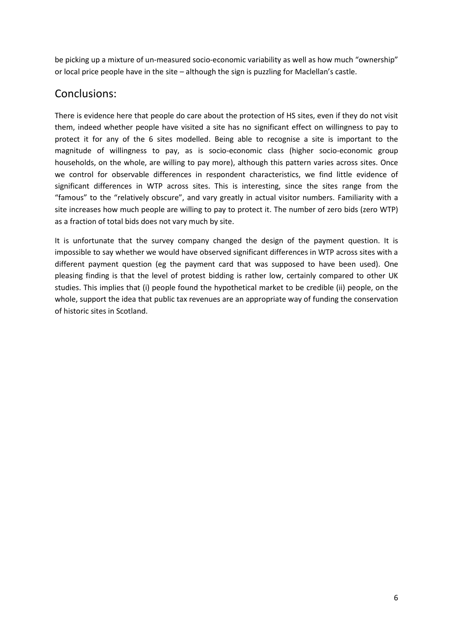be picking up a mixture of un-measured socio-economic variability as well as how much "ownership" or local price people have in the site – although the sign is puzzling for Maclellan's castle.

# Conclusions:

There is evidence here that people do care about the protection of HS sites, even if they do not visit them, indeed whether people have visited a site has no significant effect on willingness to pay to protect it for any of the 6 sites modelled. Being able to recognise a site is important to the magnitude of willingness to pay, as is socio-economic class (higher socio-economic group households, on the whole, are willing to pay more), although this pattern varies across sites. Once we control for observable differences in respondent characteristics, we find little evidence of significant differences in WTP across sites. This is interesting, since the sites range from the "famous" to the "relatively obscure", and vary greatly in actual visitor numbers. Familiarity with a site increases how much people are willing to pay to protect it. The number of zero bids (zero WTP) as a fraction of total bids does not vary much by site.

It is unfortunate that the survey company changed the design of the payment question. It is impossible to say whether we would have observed significant differences in WTP across sites with a different payment question (eg the payment card that was supposed to have been used). One pleasing finding is that the level of protest bidding is rather low, certainly compared to other UK studies. This implies that (i) people found the hypothetical market to be credible (ii) people, on the whole, support the idea that public tax revenues are an appropriate way of funding the conservation of historic sites in Scotland.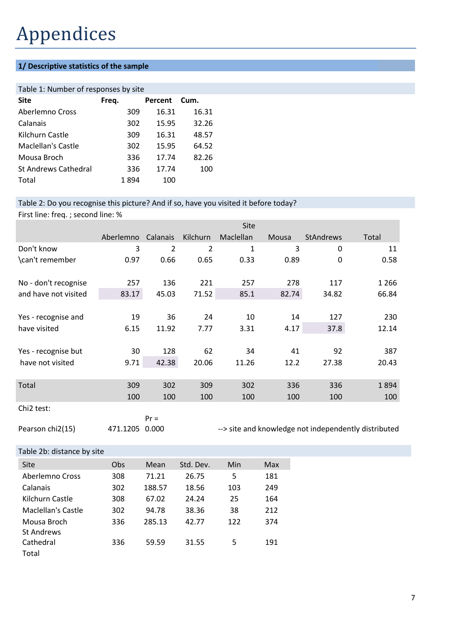# Appendices

#### **1/ Descriptive statistics of the sample**

#### Table 1: Number of responses by site

| <b>Site</b>                 | Freq. |      | Percent | Cum.  |
|-----------------------------|-------|------|---------|-------|
| Aberlemno Cross             |       | 309  | 16.31   | 16.31 |
| Calanais                    |       | 302  | 15.95   | 32.26 |
| Kilchurn Castle             |       | 309  | 16.31   | 48.57 |
| Maclellan's Castle          |       | 302  | 15.95   | 64.52 |
| Mousa Broch                 |       | 336  | 17.74   | 82.26 |
| <b>St Andrews Cathedral</b> |       | 336  | 17.74   | 100   |
| Total                       |       | 1894 | 100     |       |

#### Table 2: Do you recognise this picture? And if so, have you visited it before today?

First line: freq. ; second line: %

|                        |           |                |          | Site      |       |                  |         |
|------------------------|-----------|----------------|----------|-----------|-------|------------------|---------|
|                        | Aberlemno | Calanais       | Kilchurn | Maclellan | Mousa | <b>StAndrews</b> | Total   |
| Don't know             | 3         | $\overline{2}$ | 2        | 1         | 3     | 0                | 11      |
| \can't remember        | 0.97      | 0.66           | 0.65     | 0.33      | 0.89  | $\mathbf{0}$     | 0.58    |
| No - don't recognise   | 257       | 136            | 221      | 257       | 278   | 117              | 1 2 6 6 |
| and have not visited   | 83.17     | 45.03          | 71.52    | 85.1      | 82.74 | 34.82            | 66.84   |
|                        |           |                |          |           |       |                  |         |
| Yes - recognise and    | 19        | 36             | 24       | 10        | 14    | 127              | 230     |
| have visited           | 6.15      | 11.92          | 7.77     | 3.31      | 4.17  | 37.8             | 12.14   |
|                        |           |                |          |           |       |                  |         |
| Yes - recognise but    | 30        | 128            | 62       | 34        | 41    | 92               | 387     |
| have not visited       | 9.71      | 42.38          | 20.06    | 11.26     | 12.2  | 27.38            | 20.43   |
|                        |           |                |          |           |       |                  |         |
| Total                  | 309       | 302            | 309      | 302       | 336   | 336              | 1894    |
|                        | 100       | 100            | 100      | 100       | 100   | 100              | 100     |
| Chi <sub>2</sub> test: |           |                |          |           |       |                  |         |

Pearson chi2(15) 471.1205 0.000

-- > site and knowledge not independently distributed

#### Table 2b: distance by site

| Site               | Obs | Mean   | Std. Dev. | Min | Max |
|--------------------|-----|--------|-----------|-----|-----|
| Aberlemno Cross    | 308 | 71.21  | 26.75     | 5   | 181 |
| Calanais           | 302 | 188.57 | 18.56     | 103 | 249 |
| Kilchurn Castle    | 308 | 67.02  | 24.24     | 25  | 164 |
| Maclellan's Castle | 302 | 94.78  | 38.36     | 38  | 212 |
| Mousa Broch        | 336 | 285.13 | 42.77     | 122 | 374 |
| <b>St Andrews</b>  |     |        |           |     |     |
| Cathedral          | 336 | 59.59  | 31.55     | 5   | 191 |
| Total              |     |        |           |     |     |

 $Pr =$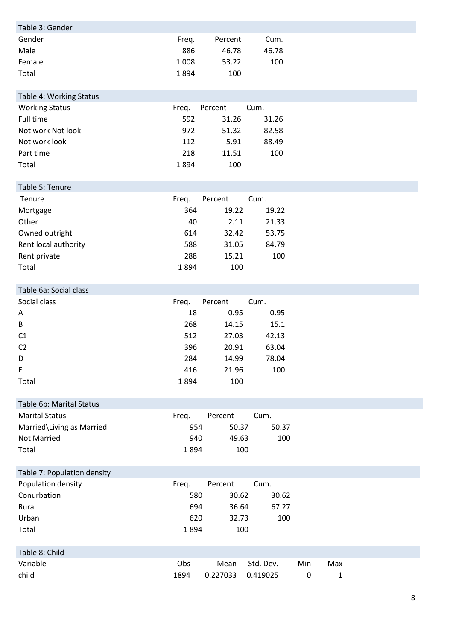| Table 3: Gender             |         |          |           |     |     |  |
|-----------------------------|---------|----------|-----------|-----|-----|--|
| Gender                      | Freq.   | Percent  | Cum.      |     |     |  |
| Male                        | 886     | 46.78    | 46.78     |     |     |  |
| Female                      | 1 0 0 8 | 53.22    | 100       |     |     |  |
| Total                       | 1894    | 100      |           |     |     |  |
|                             |         |          |           |     |     |  |
| Table 4: Working Status     |         |          |           |     |     |  |
| <b>Working Status</b>       | Freq.   | Percent  | Cum.      |     |     |  |
| Full time                   | 592     | 31.26    | 31.26     |     |     |  |
| Not work Not look           | 972     | 51.32    | 82.58     |     |     |  |
| Not work look               | 112     | 5.91     | 88.49     |     |     |  |
| Part time                   | 218     | 11.51    | 100       |     |     |  |
| Total                       | 1894    | 100      |           |     |     |  |
|                             |         |          |           |     |     |  |
| Table 5: Tenure             |         |          |           |     |     |  |
| Tenure                      | Freq.   | Percent  | Cum.      |     |     |  |
| Mortgage                    | 364     | 19.22    | 19.22     |     |     |  |
| Other                       | 40      | 2.11     | 21.33     |     |     |  |
| Owned outright              | 614     | 32.42    | 53.75     |     |     |  |
| Rent local authority        | 588     | 31.05    | 84.79     |     |     |  |
| Rent private                | 288     | 15.21    | 100       |     |     |  |
| Total                       | 1894    | 100      |           |     |     |  |
|                             |         |          |           |     |     |  |
| Table 6a: Social class      |         |          |           |     |     |  |
| Social class                | Freq.   | Percent  | Cum.      |     |     |  |
| Α                           | 18      | 0.95     | 0.95      |     |     |  |
| B                           | 268     | 14.15    | 15.1      |     |     |  |
| C1                          | 512     | 27.03    | 42.13     |     |     |  |
| C <sub>2</sub>              | 396     | 20.91    | 63.04     |     |     |  |
| D                           | 284     | 14.99    | 78.04     |     |     |  |
| E                           | 416     | 21.96    | 100       |     |     |  |
| Total                       | 1894    | 100      |           |     |     |  |
|                             |         |          |           |     |     |  |
| Table 6b: Marital Status    |         |          |           |     |     |  |
| <b>Marital Status</b>       | Freq.   | Percent  | Cum.      |     |     |  |
| Married\Living as Married   | 954     | 50.37    | 50.37     |     |     |  |
| Not Married                 | 940     | 49.63    | 100       |     |     |  |
| Total                       | 1894    | 100      |           |     |     |  |
|                             |         |          |           |     |     |  |
| Table 7: Population density |         |          |           |     |     |  |
| Population density          | Freq.   | Percent  | Cum.      |     |     |  |
| Conurbation                 | 580     | 30.62    | 30.62     |     |     |  |
| Rural                       | 694     | 36.64    | 67.27     |     |     |  |
| Urban                       | 620     | 32.73    | 100       |     |     |  |
| Total                       | 1894    | 100      |           |     |     |  |
|                             |         |          |           |     |     |  |
| Table 8: Child              |         |          |           |     |     |  |
| Variable                    | Obs     | Mean     | Std. Dev. | Min | Max |  |
| child                       | 1894    | 0.227033 | 0.419025  | 0   | 1   |  |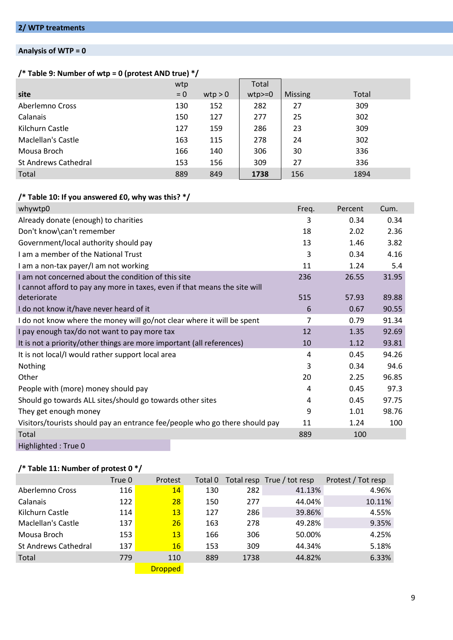## **Analysis of WTP = 0**

## **/\* Table 9: Number of wtp = 0 (protest AND true) \*/**

|                             | wtp   |         | Total    |                |       |
|-----------------------------|-------|---------|----------|----------------|-------|
| site                        | $= 0$ | wtp > 0 | $wtp>=0$ | <b>Missing</b> | Total |
| Aberlemno Cross             | 130   | 152     | 282      | 27             | 309   |
| Calanais                    | 150   | 127     | 277      | 25             | 302   |
| Kilchurn Castle             | 127   | 159     | 286      | 23             | 309   |
| Maclellan's Castle          | 163   | 115     | 278      | 24             | 302   |
| Mousa Broch                 | 166   | 140     | 306      | 30             | 336   |
| <b>St Andrews Cathedral</b> | 153   | 156     | 309      | 27             | 336   |
| Total                       | 889   | 849     | 1738     | 156            | 1894  |

## **/\* Table 10: If you answered £0, why was this? \*/**

| whywtp0                                                                     | Freq. | Percent | Cum.  |
|-----------------------------------------------------------------------------|-------|---------|-------|
| Already donate (enough) to charities                                        | 3     | 0.34    | 0.34  |
| Don't know\can't remember                                                   | 18    | 2.02    | 2.36  |
| Government/local authority should pay                                       | 13    | 1.46    | 3.82  |
| I am a member of the National Trust                                         | 3     | 0.34    | 4.16  |
| I am a non-tax payer/I am not working                                       | 11    | 1.24    | 5.4   |
| I am not concerned about the condition of this site                         | 236   | 26.55   | 31.95 |
| I cannot afford to pay any more in taxes, even if that means the site will  |       |         |       |
| deteriorate                                                                 | 515   | 57.93   | 89.88 |
| I do not know it/have never heard of it                                     | 6     | 0.67    | 90.55 |
| I do not know where the money will go/not clear where it will be spent      | 7     | 0.79    | 91.34 |
| I pay enough tax/do not want to pay more tax                                | 12    | 1.35    | 92.69 |
| It is not a priority/other things are more important (all references)       | 10    | 1.12    | 93.81 |
| It is not local/I would rather support local area                           | 4     | 0.45    | 94.26 |
| Nothing                                                                     | 3     | 0.34    | 94.6  |
| Other                                                                       | 20    | 2.25    | 96.85 |
| People with (more) money should pay                                         | 4     | 0.45    | 97.3  |
| Should go towards ALL sites/should go towards other sites                   | 4     | 0.45    | 97.75 |
| They get enough money                                                       | 9     | 1.01    | 98.76 |
| Visitors/tourists should pay an entrance fee/people who go there should pay | 11    | 1.24    | 100   |
| Total                                                                       | 889   | 100     |       |
| Highlighted: True 0                                                         |       |         |       |

## **/\* Table 11: Number of protest 0 \*/**

|                             | True 0 | Protest         | Total 0 |      | Total resp True / tot resp | Protest / Tot resp |
|-----------------------------|--------|-----------------|---------|------|----------------------------|--------------------|
| Aberlemno Cross             | 116    | 14              | 130     | 282  | 41.13%                     | 4.96%              |
| Calanais                    | 122    | 28              | 150     | 277  | 44.04%                     | 10.11%             |
| Kilchurn Castle             | 114    | 13 <sup>°</sup> | 127     | 286  | 39.86%                     | 4.55%              |
| Maclellan's Castle          | 137    | 26              | 163     | 278  | 49.28%                     | 9.35%              |
| Mousa Broch                 | 153    | 13 <sup>°</sup> | 166     | 306  | 50.00%                     | 4.25%              |
| <b>St Andrews Cathedral</b> | 137    | 16              | 153     | 309  | 44.34%                     | 5.18%              |
| Total                       | 779    | 110             | 889     | 1738 | 44.82%                     | 6.33%              |
|                             |        | <b>Dropped</b>  |         |      |                            |                    |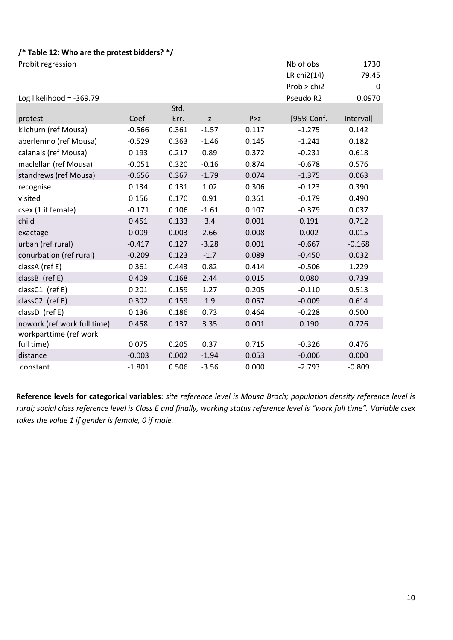#### **/\* Table 12: Who are the protest bidders? \*/**

| Probit regression           |          |       |         |       | Nb of obs   | 1730      |
|-----------------------------|----------|-------|---------|-------|-------------|-----------|
|                             |          |       |         |       | LR chi2(14) | 79.45     |
|                             |          |       |         |       | Prob > chi2 | 0         |
| Log likelihood = $-369.79$  |          |       |         |       | Pseudo R2   | 0.0970    |
|                             |          | Std.  |         |       |             |           |
| protest                     | Coef.    | Err.  | Z       | P > Z | [95% Conf.  | Interval] |
| kilchurn (ref Mousa)        | $-0.566$ | 0.361 | $-1.57$ | 0.117 | $-1.275$    | 0.142     |
| aberlemno (ref Mousa)       | $-0.529$ | 0.363 | $-1.46$ | 0.145 | $-1.241$    | 0.182     |
| calanais (ref Mousa)        | 0.193    | 0.217 | 0.89    | 0.372 | $-0.231$    | 0.618     |
| maclellan (ref Mousa)       | $-0.051$ | 0.320 | $-0.16$ | 0.874 | $-0.678$    | 0.576     |
| standrews (ref Mousa)       | $-0.656$ | 0.367 | $-1.79$ | 0.074 | $-1.375$    | 0.063     |
| recognise                   | 0.134    | 0.131 | 1.02    | 0.306 | $-0.123$    | 0.390     |
| visited                     | 0.156    | 0.170 | 0.91    | 0.361 | $-0.179$    | 0.490     |
| csex (1 if female)          | $-0.171$ | 0.106 | $-1.61$ | 0.107 | $-0.379$    | 0.037     |
| child                       | 0.451    | 0.133 | 3.4     | 0.001 | 0.191       | 0.712     |
| exactage                    | 0.009    | 0.003 | 2.66    | 0.008 | 0.002       | 0.015     |
| urban (ref rural)           | $-0.417$ | 0.127 | $-3.28$ | 0.001 | $-0.667$    | $-0.168$  |
| conurbation (ref rural)     | $-0.209$ | 0.123 | $-1.7$  | 0.089 | $-0.450$    | 0.032     |
| classA (ref E)              | 0.361    | 0.443 | 0.82    | 0.414 | $-0.506$    | 1.229     |
| classB (ref E)              | 0.409    | 0.168 | 2.44    | 0.015 | 0.080       | 0.739     |
| classC1 (ref E)             | 0.201    | 0.159 | 1.27    | 0.205 | $-0.110$    | 0.513     |
| classC2 (ref E)             | 0.302    | 0.159 | 1.9     | 0.057 | $-0.009$    | 0.614     |
| classD (ref E)              | 0.136    | 0.186 | 0.73    | 0.464 | $-0.228$    | 0.500     |
| nowork (ref work full time) | 0.458    | 0.137 | 3.35    | 0.001 | 0.190       | 0.726     |
| workparttime (ref work      |          |       |         |       |             |           |
| full time)                  | 0.075    | 0.205 | 0.37    | 0.715 | $-0.326$    | 0.476     |
| distance                    | $-0.003$ | 0.002 | $-1.94$ | 0.053 | $-0.006$    | 0.000     |
| constant                    | $-1.801$ | 0.506 | $-3.56$ | 0.000 | $-2.793$    | $-0.809$  |

**Reference levels for categorical variables**: *site reference level is Mousa Broch; population density reference level is rural; social class reference level is Class E and finally, working status reference level is "work full time". Variable csex takes the value 1 if gender is female, 0 if male.*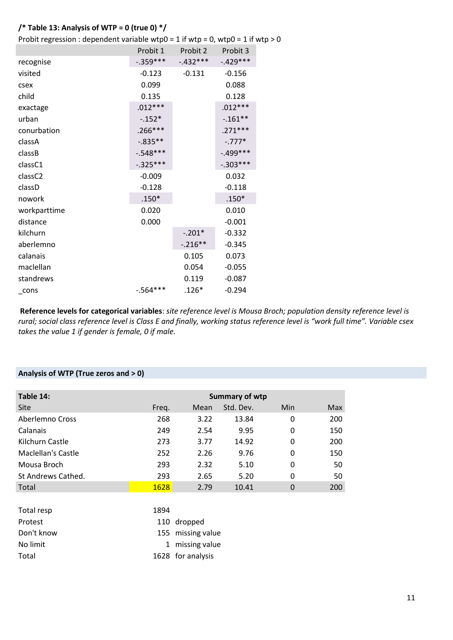#### **/\* Table 13: Analysis of WTP = 0 (true 0) \*/**

Probit regression : dependent variable wtp0 = 1 if wtp = 0, wtp0 = 1 if wtp > 0

|              | Probit 1    | Probit 2  | Probit 3    |
|--------------|-------------|-----------|-------------|
| recognise    | -.359***    | $-432***$ | $-429***$   |
| visited      | $-0.123$    | $-0.131$  | $-0.156$    |
| csex         | 0.099       |           | 0.088       |
| child        | 0.135       |           | 0.128       |
| exactage     | $.012***$   |           | $.012***$   |
| urban        | $-.152*$    |           | $-.161**$   |
| conurbation  | $.266***$   |           | $.271***$   |
| classA       | $-0.835**$  |           | $-.777*$    |
| classB       | $-0.548***$ |           | $-0.499***$ |
| classC1      | $-0.325***$ |           | $-.303***$  |
| classC2      | $-0.009$    |           | 0.032       |
| classD       | $-0.128$    |           | $-0.118$    |
| nowork       | $.150*$     |           | $.150*$     |
| workparttime | 0.020       |           | 0.010       |
| distance     | 0.000       |           | $-0.001$    |
| kilchurn     |             | $-.201*$  | $-0.332$    |
| aberlemno    |             | $-.216**$ | $-0.345$    |
| calanais     |             | 0.105     | 0.073       |
| maclellan    |             | 0.054     | $-0.055$    |
| standrews    |             | 0.119     | $-0.087$    |
| cons         | $-0.564***$ | $.126*$   | $-0.294$    |

**Reference levels for categorical variables**: *site reference level is Mousa Broch; population density reference level is rural; social class reference level is Class E and finally, working status reference level is "work full time". Variable csex takes the value 1 if gender is female, 0 if male.*

#### **Analysis of WTP (True zeros and > 0)**

| Table 14:          |       |      | Summary of wtp |             |            |
|--------------------|-------|------|----------------|-------------|------------|
| Site               | Freq. | Mean | Std. Dev.      | Min         | <b>Max</b> |
| Aberlemno Cross    | 268   | 3.22 | 13.84          | 0           | 200        |
| Calanais           | 249   | 2.54 | 9.95           | 0           | 150        |
| Kilchurn Castle    | 273   | 3.77 | 14.92          | 0           | 200        |
| Maclellan's Castle | 252   | 2.26 | 9.76           | 0           | 150        |
| Mousa Broch        | 293   | 2.32 | 5.10           | 0           | 50         |
| St Andrews Cathed. | 293   | 2.65 | 5.20           | 0           | 50         |
| Total              | 1628  | 2.79 | 10.41          | $\mathbf 0$ | 200        |
|                    |       |      |                |             |            |
| Total resp         | 1894  |      |                |             |            |
|                    |       |      |                |             |            |

| Protest    | 110 dropped       |
|------------|-------------------|
| Don't know | 155 missing value |
| No limit   | 1 missing value   |
| Total      | 1628 for analysis |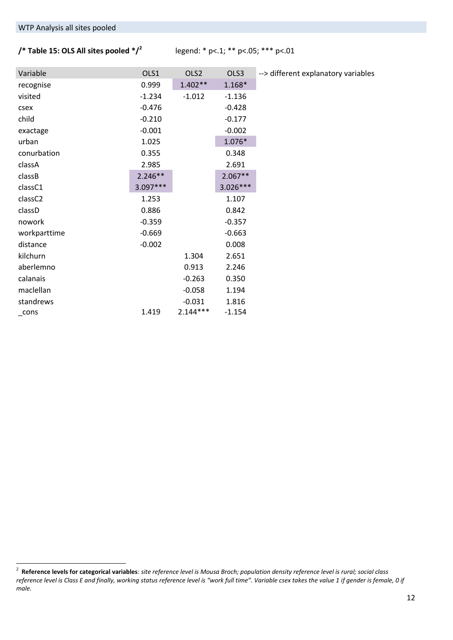# **/\* Table 15: OLS All sites pooled \*/<sup>2</sup>**

legend: \* p<.1; \*\* p<.05; \*\*\* p<.01

| Variable     | OLS1       | OLS <sub>2</sub> | OLS3       | -- > different explanatory variables |
|--------------|------------|------------------|------------|--------------------------------------|
| recognise    | 0.999      | $1.402**$        | $1.168*$   |                                      |
| visited      | $-1.234$   | $-1.012$         | $-1.136$   |                                      |
| csex         | $-0.476$   |                  | $-0.428$   |                                      |
| child        | $-0.210$   |                  | $-0.177$   |                                      |
| exactage     | $-0.001$   |                  | $-0.002$   |                                      |
| urban        | 1.025      |                  | 1.076*     |                                      |
| conurbation  | 0.355      |                  | 0.348      |                                      |
| classA       | 2.985      |                  | 2.691      |                                      |
| classB       | $2.246**$  |                  | $2.067**$  |                                      |
| classC1      | $3.097***$ |                  | $3.026***$ |                                      |
| classC2      | 1.253      |                  | 1.107      |                                      |
| classD       | 0.886      |                  | 0.842      |                                      |
| nowork       | $-0.359$   |                  | $-0.357$   |                                      |
| workparttime | $-0.669$   |                  | $-0.663$   |                                      |
| distance     | $-0.002$   |                  | 0.008      |                                      |
| kilchurn     |            | 1.304            | 2.651      |                                      |
| aberlemno    |            | 0.913            | 2.246      |                                      |
| calanais     |            | $-0.263$         | 0.350      |                                      |
| maclellan    |            | $-0.058$         | 1.194      |                                      |
| standrews    |            | $-0.031$         | 1.816      |                                      |
| cons         | 1.419      | $2.144***$       | $-1.154$   |                                      |

 2 **Reference levels for categorical variables**: *site reference level is Mousa Broch; population density reference level is rural; social class reference level is Class E and finally, working status reference level is "work full time". Variable csex takes the value 1 if gender is female, 0 if male.*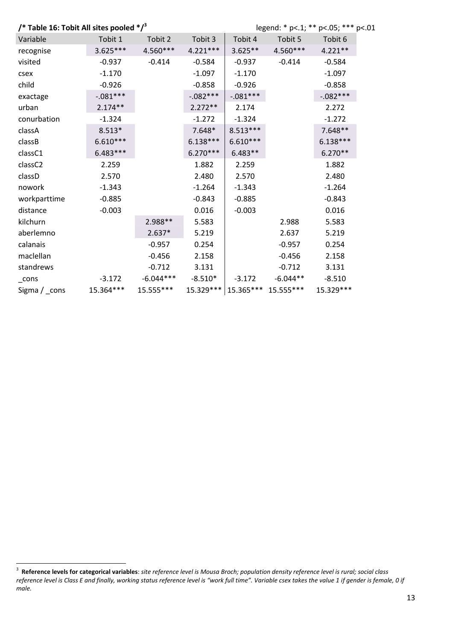# **/\* Table 16: Tobit All sites pooled \*/<sup>3</sup>**

legend: \* p<.1; \*\* p<.05; \*\*\* p<.01

| Variable        | Tobit 1    | Tobit 2     | Tobit 3    | Tobit 4    | Tobit 5             | Tobit 6    |
|-----------------|------------|-------------|------------|------------|---------------------|------------|
| recognise       | $3.625***$ | 4.560***    | $4.221***$ | $3.625**$  | 4.560***            | $4.221**$  |
| visited         | $-0.937$   | $-0.414$    | $-0.584$   | $-0.937$   | $-0.414$            | $-0.584$   |
| csex            | $-1.170$   |             | $-1.097$   | $-1.170$   |                     | $-1.097$   |
| child           | $-0.926$   |             | $-0.858$   | $-0.926$   |                     | $-0.858$   |
| exactage        | $-.081***$ |             | $-.082***$ | $-.081***$ |                     | $-.082***$ |
| urban           | $2.174**$  |             | $2.272**$  | 2.174      |                     | 2.272      |
| conurbation     | $-1.324$   |             | $-1.272$   | $-1.324$   |                     | $-1.272$   |
| classA          | $8.513*$   |             | $7.648*$   | $8.513***$ |                     | $7.648**$  |
| classB          | $6.610***$ |             | $6.138***$ | $6.610***$ |                     | $6.138***$ |
| classC1         | $6.483***$ |             | $6.270***$ | $6.483**$  |                     | $6.270**$  |
| classC2         | 2.259      |             | 1.882      | 2.259      |                     | 1.882      |
| classD          | 2.570      |             | 2.480      | 2.570      |                     | 2.480      |
| nowork          | $-1.343$   |             | $-1.264$   | $-1.343$   |                     | $-1.264$   |
| workparttime    | $-0.885$   |             | $-0.843$   | $-0.885$   |                     | $-0.843$   |
| distance        | $-0.003$   |             | 0.016      | $-0.003$   |                     | 0.016      |
| kilchurn        |            | 2.988 **    | 5.583      |            | 2.988               | 5.583      |
| aberlemno       |            | $2.637*$    | 5.219      |            | 2.637               | 5.219      |
| calanais        |            | $-0.957$    | 0.254      |            | $-0.957$            | 0.254      |
| maclellan       |            | $-0.456$    | 2.158      |            | $-0.456$            | 2.158      |
| standrews       |            | $-0.712$    | 3.131      |            | $-0.712$            | 3.131      |
| $\_cons$        | $-3.172$   | $-6.044***$ | $-8.510*$  | $-3.172$   | $-6.044**$          | $-8.510$   |
| Sigma $/$ _cons | 15.364***  | $15.555***$ | 15.329 *** |            | 15.365*** 15.555*** | 15.329 *** |

 3 **Reference levels for categorical variables**: *site reference level is Mousa Broch; population density reference level is rural; social class reference level is Class E and finally, working status reference level is "work full time". Variable csex takes the value 1 if gender is female, 0 if male.*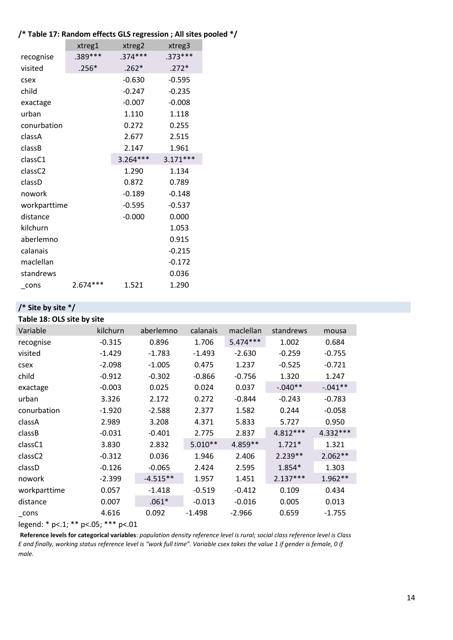## **/\* Table 17: Random effects GLS regression ; All sites pooled \*/**

|              | xtreg1     | xtreg2     | xtreg3     |
|--------------|------------|------------|------------|
| recognise    | .389 ***   | $.374***$  | $.373***$  |
| visited      | $.256*$    | $.262*$    | $.272*$    |
| csex         |            | $-0.630$   | $-0.595$   |
| child        |            | $-0.247$   | $-0.235$   |
| exactage     |            | $-0.007$   | $-0.008$   |
| urban        |            | 1.110      | 1.118      |
| conurbation  |            | 0.272      | 0.255      |
| classA       |            | 2.677      | 2.515      |
| classB       |            | 2.147      | 1.961      |
| classC1      |            | $3.264***$ | $3.171***$ |
| classC2      |            | 1.290      | 1.134      |
| classD       |            | 0.872      | 0.789      |
| nowork       |            | $-0.189$   | $-0.148$   |
| workparttime |            | $-0.595$   | $-0.537$   |
| distance     |            | $-0.000$   | 0.000      |
| kilchurn     |            |            | 1.053      |
| aberlemno    |            |            | 0.915      |
| calanais     |            |            | $-0.215$   |
| maclellan    |            |            | $-0.172$   |
| standrews    |            |            | 0.036      |
| cons         | $2.674***$ | 1.521      | 1.290      |

## **/\* Site by site \*/**

**Table 18: OLS site by site** 

| Variable            | kilchurn | aberlemno  | calanais  | maclellan  | standrews  | mousa     |
|---------------------|----------|------------|-----------|------------|------------|-----------|
| recognise           | $-0.315$ | 0.896      | 1.706     | $5.474***$ | 1.002      | 0.684     |
| visited             | $-1.429$ | $-1.783$   | $-1.493$  | $-2.630$   | $-0.259$   | $-0.755$  |
| csex                | $-2.098$ | $-1.005$   | 0.475     | 1.237      | $-0.525$   | $-0.721$  |
| child               | $-0.912$ | $-0.302$   | $-0.866$  | $-0.756$   | 1.320      | 1.247     |
| exactage            | $-0.003$ | 0.025      | 0.024     | 0.037      | $-.040**$  | $-.041**$ |
| urban               | 3.326    | 2.172      | 0.272     | $-0.844$   | $-0.243$   | $-0.783$  |
| conurbation         | $-1.920$ | $-2.588$   | 2.377     | 1.582      | 0.244      | $-0.058$  |
| classA              | 2.989    | 3.208      | 4.371     | 5.833      | 5.727      | 0.950     |
| classB              | $-0.031$ | $-0.401$   | 2.775     | 2.837      | 4.812 ***  | 4.332 *** |
| classC1             | 3.830    | 2.832      | $5.010**$ | 4.859 **   | $1.721*$   | 1.321     |
| classC <sub>2</sub> | $-0.312$ | 0.036      | 1.946     | 2.406      | $2.239**$  | $2.062**$ |
| classD              | $-0.126$ | $-0.065$   | 2.424     | 2.595      | $1.854*$   | 1.303     |
| nowork              | $-2.399$ | $-4.515**$ | 1.957     | 1.451      | $2.137***$ | $1.962**$ |
| workparttime        | 0.057    | $-1.418$   | $-0.519$  | $-0.412$   | 0.109      | 0.434     |
| distance            | 0.007    | $.061*$    | $-0.013$  | $-0.016$   | 0.005      | 0.013     |
| $_{\rm \_cons}$     | 4.616    | 0.092      | $-1.498$  | $-2.966$   | 0.659      | $-1.755$  |

legend: \* p<.1; \*\* p<.05; \*\*\* p<.01

**Reference levels for categorical variables**: *population density reference level is rural; social class reference level is Class E and finally, working status reference level is "work full time". Variable csex takes the value 1 if gender is female, 0 if male.*